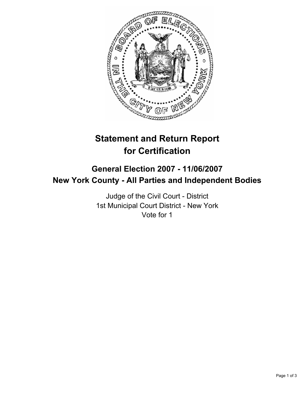

# **Statement and Return Report for Certification**

# **General Election 2007 - 11/06/2007 New York County - All Parties and Independent Bodies**

Judge of the Civil Court - District 1st Municipal Court District - New York Vote for 1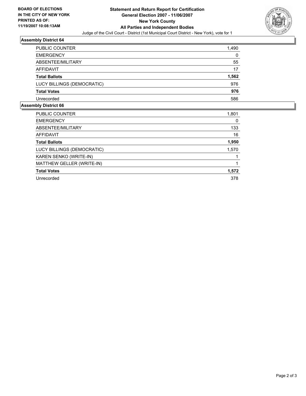

### **Assembly District 64**

| 1,490 |
|-------|
| 0     |
| 55    |
| 17    |
| 1,562 |
| 976   |
| 976   |
| 586   |
|       |

#### **Assembly District 66**

| PUBLIC COUNTER             | 1,801 |
|----------------------------|-------|
| <b>EMERGENCY</b>           |       |
| ABSENTEE/MILITARY          | 133   |
| AFFIDAVIT                  | 16    |
| <b>Total Ballots</b>       | 1,950 |
| LUCY BILLINGS (DEMOCRATIC) | 1,570 |
| KAREN SENKO (WRITE-IN)     |       |
| MATTHEW GELLER (WRITE-IN)  |       |
| <b>Total Votes</b>         | 1,572 |
| Unrecorded                 | 378   |